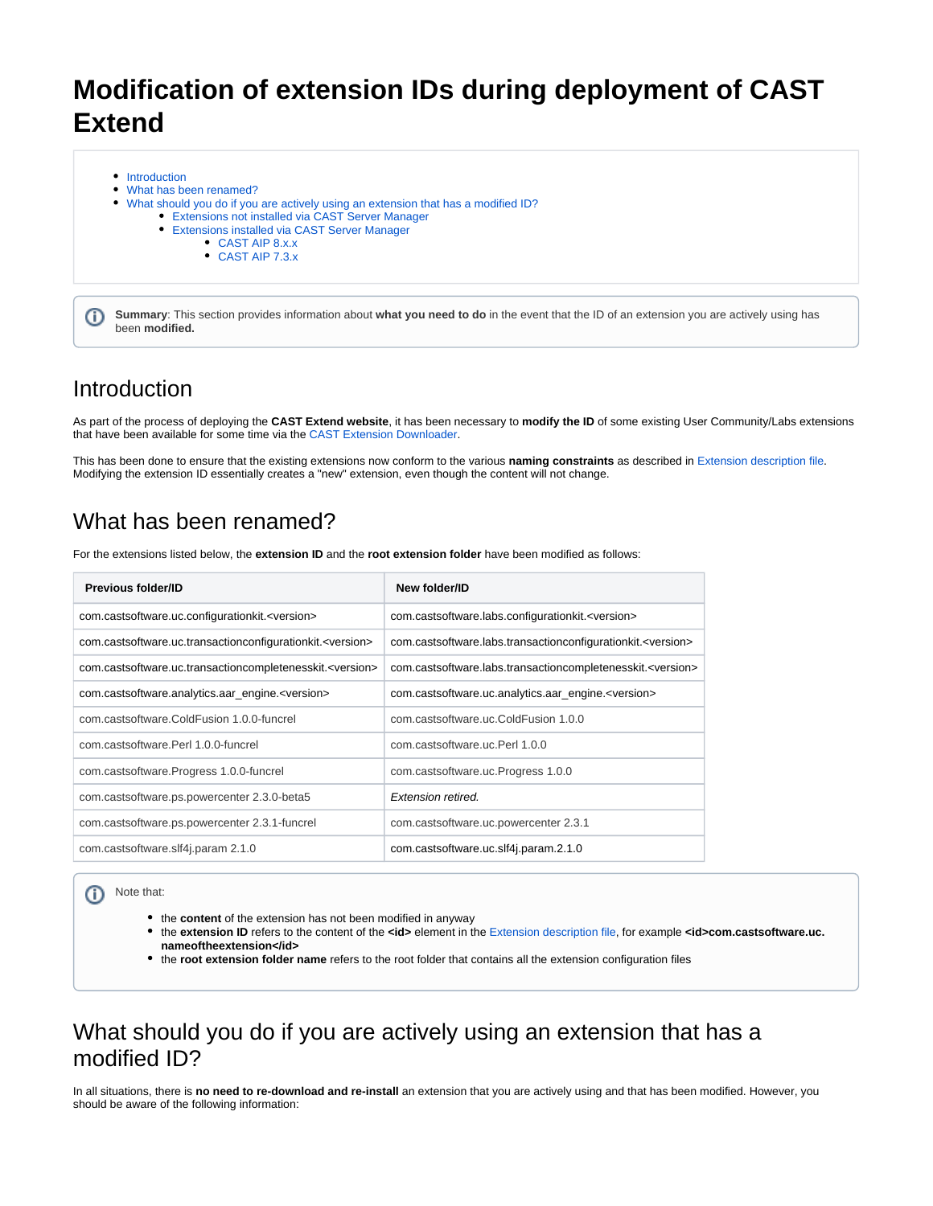# **Modification of extension IDs during deployment of CAST Extend**

- [Introduction](#page-0-0)
- [What has been renamed?](#page-0-1)
- [What should you do if you are actively using an extension that has a modified ID?](#page-0-2)
	- [Extensions not installed via CAST Server Manager](#page-0-3)
		- [Extensions installed via CAST Server Manager](#page-1-0)
			- [CAST AIP 8.x.x](#page-1-1)
			- [CAST AIP 7.3.x](#page-2-0)

**Summary**: This section provides information about **what you need to do** in the event that the ID of an extension you are actively using has been **modified.**

### <span id="page-0-0"></span>Introduction

⋒

As part of the process of deploying the **CAST Extend website**, it has been necessary to **modify the ID** of some existing User Community/Labs extensions that have been available for some time via the [CAST Extension Downloader](https://doc.castsoftware.com/display/EXTEND/CAST+Extension+Downloader).

This has been done to ensure that the existing extensions now conform to the various **naming constraints** as described in [Extension description file.](https://doc.castsoftware.com/display/EXTEND/Extension+description+file) Modifying the extension ID essentially creates a "new" extension, even though the content will not change.

## <span id="page-0-1"></span>What has been renamed?

For the extensions listed below, the **extension ID** and the **root extension folder** have been modified as follows:

| <b>Previous folder/ID</b>                                            | New folder/ID                                                          |
|----------------------------------------------------------------------|------------------------------------------------------------------------|
| com.castsoftware.uc.configurationkit. <version></version>            | com.castsoftware.labs.configurationkit. <version></version>            |
| com.castsoftware.uc.transactionconfigurationkit. <version></version> | com.castsoftware.labs.transactionconfigurationkit. <version></version> |
| com.castsoftware.uc.transactioncompletenesskit. <version></version>  | com.castsoftware.labs.transactioncompletenesskit. <version></version>  |
| com.castsoftware.analytics.aar_engine. <version></version>           | com.castsoftware.uc.analytics.aar_engine. <version></version>          |
| com.castsoftware.ColdFusion 1.0.0-funcrel                            | com.castsoftware.uc.ColdFusion 1.0.0                                   |
| com.castsoftware.Perl 1.0.0-funcrel                                  | com.castsoftware.uc.Perl 1.0.0                                         |
| com.castsoftware.Progress 1.0.0-funcrel                              | com.castsoftware.uc.Progress 1.0.0                                     |
| com.castsoftware.ps.powercenter 2.3.0-beta5                          | <b>Extension retired.</b>                                              |
| com.castsoftware.ps.powercenter 2.3.1-funcrel                        | com.castsoftware.uc.powercenter 2.3.1                                  |
| com.castsoftware.slf4j.param 2.1.0                                   | com.castsoftware.uc.slf4j.param.2.1.0                                  |

Note that: ത

- the **content** of the extension has not been modified in anyway
- the extension ID refers to the content of the **<id>** element in the [Extension description file](https://doc.castsoftware.com/display/EXTEND/Extension+description+file), for example **<id>com.castsoftware.uc. nameoftheextension</id>**
- the **root extension folder name** refers to the root folder that contains all the extension configuration files

## <span id="page-0-2"></span>What should you do if you are actively using an extension that has a modified ID?

<span id="page-0-3"></span>In all situations, there is **no need to re-download and re-install** an extension that you are actively using and that has been modified. However, you should be aware of the following information: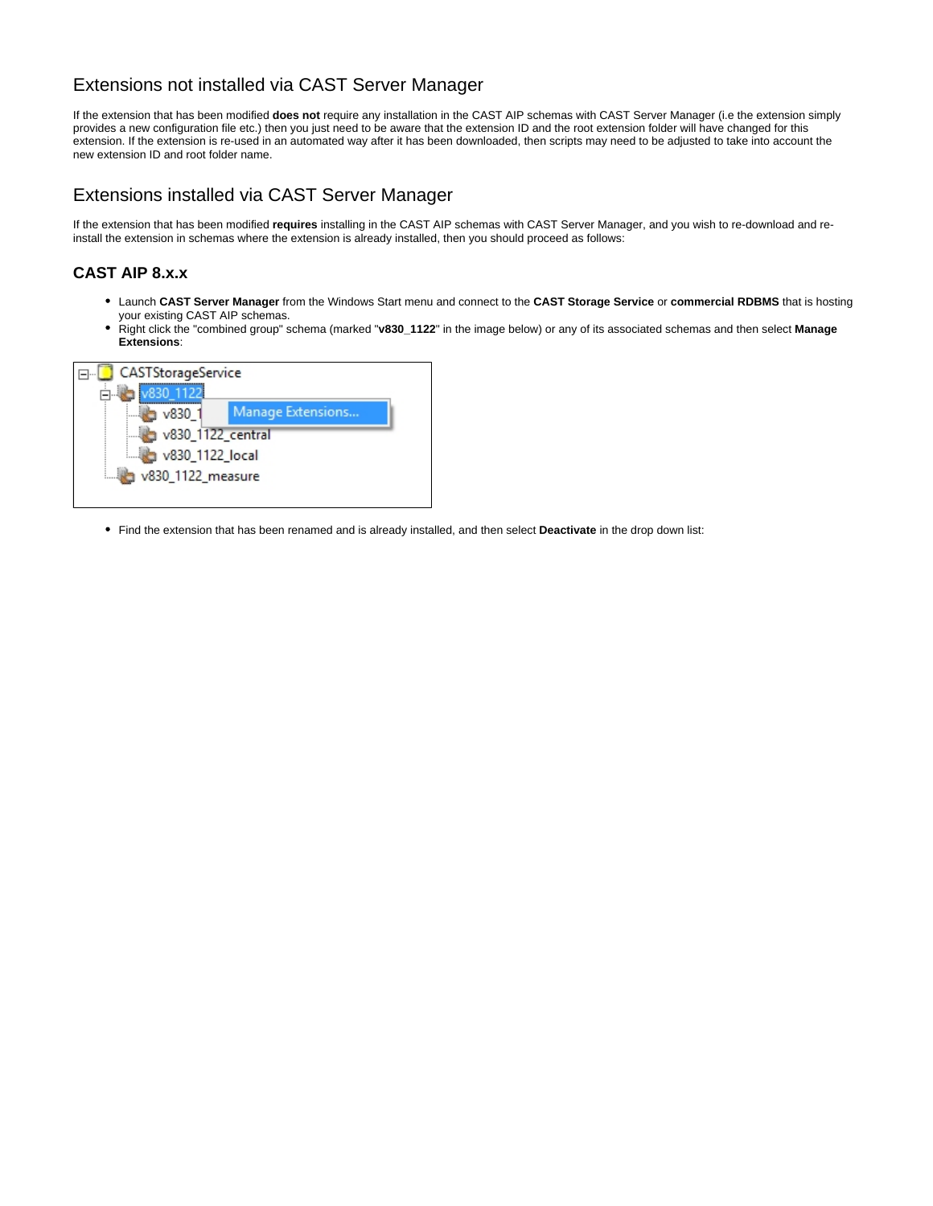#### Extensions not installed via CAST Server Manager

If the extension that has been modified **does not** require any installation in the CAST AIP schemas with CAST Server Manager (i.e the extension simply provides a new configuration file etc.) then you just need to be aware that the extension ID and the root extension folder will have changed for this extension. If the extension is re-used in an automated way after it has been downloaded, then scripts may need to be adjusted to take into account the new extension ID and root folder name.

#### <span id="page-1-0"></span>Extensions installed via CAST Server Manager

If the extension that has been modified **requires** installing in the CAST AIP schemas with CAST Server Manager, and you wish to re-download and reinstall the extension in schemas where the extension is already installed, then you should proceed as follows:

#### <span id="page-1-1"></span>**CAST AIP 8.x.x**

- Launch **CAST Server Manager** from the Windows Start menu and connect to the **CAST Storage Service** or **commercial RDBMS** that is hosting your existing CAST AIP schemas.
- Right click the "combined group" schema (marked "v830\_1122" in the image below) or any of its associated schemas and then select Manage **Extensions**:



Find the extension that has been renamed and is already installed, and then select **Deactivate** in the drop down list: